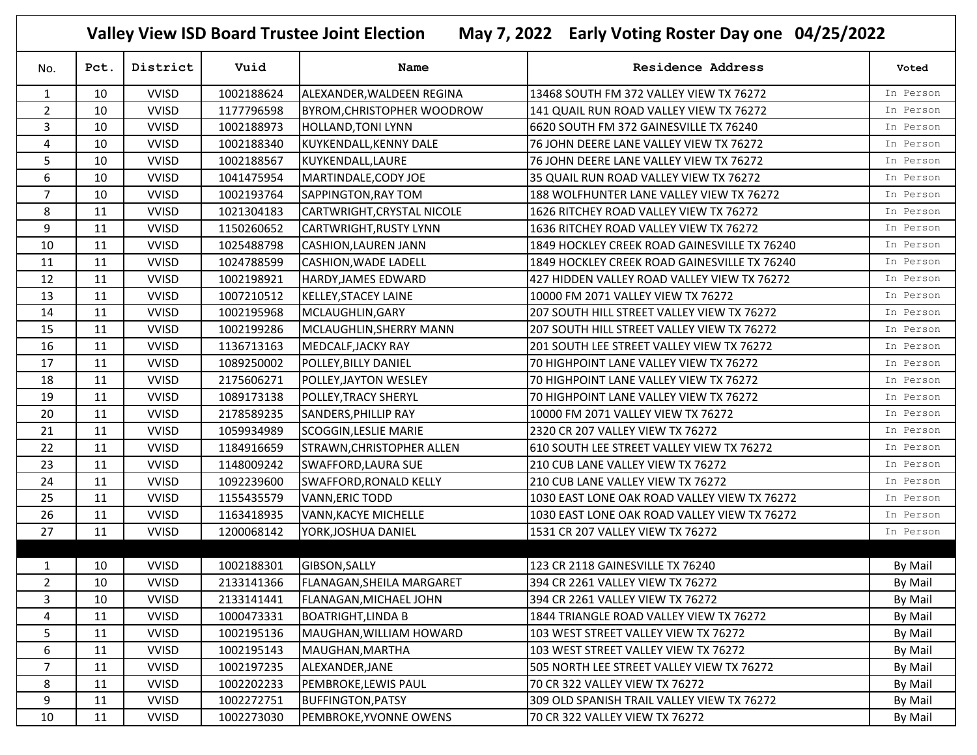**Valley View ISD Board Trustee Joint Election May 7, 2022 Early Voting Roster Day one 04/25/2022**

| No.            | Pct. | District     | Vuid       | Name                              | <b>Residence Address</b>                     | Voted     |
|----------------|------|--------------|------------|-----------------------------------|----------------------------------------------|-----------|
| $\mathbf{1}$   | 10   | <b>VVISD</b> | 1002188624 | ALEXANDER, WALDEEN REGINA         | 13468 SOUTH FM 372 VALLEY VIEW TX 76272      | In Person |
| $\overline{2}$ | 10   | <b>VVISD</b> | 1177796598 | <b>BYROM, CHRISTOPHER WOODROW</b> | 141 QUAIL RUN ROAD VALLEY VIEW TX 76272      | In Person |
| 3              | 10   | <b>VVISD</b> | 1002188973 | <b>HOLLAND, TONI LYNN</b>         | 6620 SOUTH FM 372 GAINESVILLE TX 76240       | In Person |
| 4              | 10   | <b>VVISD</b> | 1002188340 | KUYKENDALL, KENNY DALE            | 76 JOHN DEERE LANE VALLEY VIEW TX 76272      | In Person |
| 5              | 10   | <b>VVISD</b> | 1002188567 | KUYKENDALL, LAURE                 | 76 JOHN DEERE LANE VALLEY VIEW TX 76272      | In Person |
| 6              | 10   | <b>VVISD</b> | 1041475954 | MARTINDALE, CODY JOE              | 35 QUAIL RUN ROAD VALLEY VIEW TX 76272       | In Person |
| $\overline{7}$ | 10   | <b>VVISD</b> | 1002193764 | SAPPINGTON, RAY TOM               | 188 WOLFHUNTER LANE VALLEY VIEW TX 76272     | In Person |
| 8              | 11   | <b>VVISD</b> | 1021304183 | CARTWRIGHT, CRYSTAL NICOLE        | 1626 RITCHEY ROAD VALLEY VIEW TX 76272       | In Person |
| $\mathsf g$    | 11   | <b>VVISD</b> | 1150260652 | <b>CARTWRIGHT, RUSTY LYNN</b>     | 1636 RITCHEY ROAD VALLEY VIEW TX 76272       | In Person |
| 10             | 11   | <b>VVISD</b> | 1025488798 | <b>CASHION, LAUREN JANN</b>       | 1849 HOCKLEY CREEK ROAD GAINESVILLE TX 76240 | In Person |
| 11             | 11   | <b>VVISD</b> | 1024788599 | <b>CASHION, WADE LADELL</b>       | 1849 HOCKLEY CREEK ROAD GAINESVILLE TX 76240 | In Person |
| 12             | 11   | <b>VVISD</b> | 1002198921 | <b>HARDY, JAMES EDWARD</b>        | 427 HIDDEN VALLEY ROAD VALLEY VIEW TX 76272  | In Person |
| 13             | 11   | <b>VVISD</b> | 1007210512 | <b>KELLEY, STACEY LAINE</b>       | 10000 FM 2071 VALLEY VIEW TX 76272           | In Person |
| 14             | 11   | <b>VVISD</b> | 1002195968 | MCLAUGHLIN, GARY                  | 207 SOUTH HILL STREET VALLEY VIEW TX 76272   | In Person |
| 15             | 11   | <b>VVISD</b> | 1002199286 | MCLAUGHLIN, SHERRY MANN           | 207 SOUTH HILL STREET VALLEY VIEW TX 76272   | In Person |
| 16             | 11   | <b>VVISD</b> | 1136713163 | MEDCALF, JACKY RAY                | 201 SOUTH LEE STREET VALLEY VIEW TX 76272    | In Person |
| 17             | 11   | <b>VVISD</b> | 1089250002 | POLLEY, BILLY DANIEL              | 70 HIGHPOINT LANE VALLEY VIEW TX 76272       | In Person |
| 18             | 11   | <b>VVISD</b> | 2175606271 | POLLEY, JAYTON WESLEY             | 70 HIGHPOINT LANE VALLEY VIEW TX 76272       | In Person |
| 19             | 11   | <b>VVISD</b> | 1089173138 | <b>POLLEY, TRACY SHERYL</b>       | 70 HIGHPOINT LANE VALLEY VIEW TX 76272       | In Person |
| 20             | 11   | <b>VVISD</b> | 2178589235 | SANDERS, PHILLIP RAY              | 10000 FM 2071 VALLEY VIEW TX 76272           | In Person |
| 21             | 11   | <b>VVISD</b> | 1059934989 | <b>SCOGGIN, LESLIE MARIE</b>      | 2320 CR 207 VALLEY VIEW TX 76272             | In Person |
| 22             | 11   | <b>VVISD</b> | 1184916659 | STRAWN, CHRISTOPHER ALLEN         | 610 SOUTH LEE STREET VALLEY VIEW TX 76272    | In Person |
| 23             | 11   | <b>VVISD</b> | 1148009242 | <b>SWAFFORD, LAURA SUE</b>        | 210 CUB LANE VALLEY VIEW TX 76272            | In Person |
| 24             | 11   | <b>VVISD</b> | 1092239600 | <b>SWAFFORD, RONALD KELLY</b>     | 210 CUB LANE VALLEY VIEW TX 76272            | In Person |
| 25             | 11   | <b>VVISD</b> | 1155435579 | <b>VANN, ERIC TODD</b>            | 1030 EAST LONE OAK ROAD VALLEY VIEW TX 76272 | In Person |
| 26             | 11   | <b>VVISD</b> | 1163418935 | VANN, KACYE MICHELLE              | 1030 EAST LONE OAK ROAD VALLEY VIEW TX 76272 | In Person |
| 27             | 11   | <b>VVISD</b> | 1200068142 | YORK, JOSHUA DANIEL               | 1531 CR 207 VALLEY VIEW TX 76272             | In Person |
|                |      |              |            |                                   |                                              |           |
| 1              | 10   | <b>VVISD</b> | 1002188301 | GIBSON, SALLY                     | 123 CR 2118 GAINESVILLE TX 76240             | By Mail   |
| $\overline{2}$ | 10   | <b>VVISD</b> | 2133141366 | <b>FLANAGAN, SHEILA MARGARET</b>  | 394 CR 2261 VALLEY VIEW TX 76272             | By Mail   |
| 3              | 10   | <b>VVISD</b> | 2133141441 | FLANAGAN, MICHAEL JOHN            | 394 CR 2261 VALLEY VIEW TX 76272             | By Mail   |
| 4              | 11   | <b>VVISD</b> | 1000473331 | <b>BOATRIGHT, LINDA B</b>         | 1844 TRIANGLE ROAD VALLEY VIEW TX 76272      | By Mail   |
| 5              | 11   | <b>VVISD</b> | 1002195136 | MAUGHAN, WILLIAM HOWARD           | 103 WEST STREET VALLEY VIEW TX 76272         | By Mail   |
| 6              | 11   | <b>VVISD</b> | 1002195143 | MAUGHAN, MARTHA                   | 103 WEST STREET VALLEY VIEW TX 76272         | By Mail   |
| $\overline{7}$ | 11   | <b>VVISD</b> | 1002197235 | ALEXANDER, JANE                   | 505 NORTH LEE STREET VALLEY VIEW TX 76272    | By Mail   |
| 8              | 11   | <b>VVISD</b> | 1002202233 | PEMBROKE, LEWIS PAUL              | 70 CR 322 VALLEY VIEW TX 76272               | By Mail   |
| 9              | 11   | <b>VVISD</b> | 1002272751 | <b>BUFFINGTON, PATSY</b>          | 309 OLD SPANISH TRAIL VALLEY VIEW TX 76272   | By Mail   |
| 10             | 11   | <b>VVISD</b> | 1002273030 | PEMBROKE, YVONNE OWENS            | 70 CR 322 VALLEY VIEW TX 76272               | By Mail   |